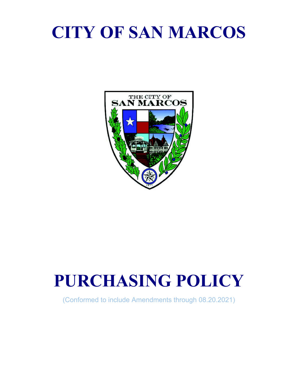# **CITY OF SAN MARCOS**



# **PURCHASING POLICY**

(Conformed to include Amendments through 08.20.2021)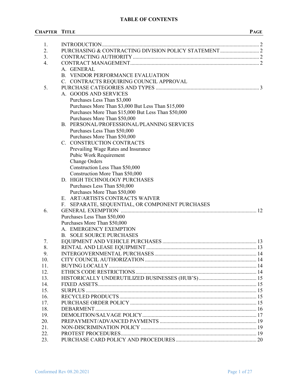# **TABLE OF CONTENTS**

#### **CHAPTER TITLE PAGE**

| 1.<br>2. |                                                     |  |
|----------|-----------------------------------------------------|--|
| 3.       |                                                     |  |
| 4.       |                                                     |  |
|          | A. GENERAL                                          |  |
|          |                                                     |  |
|          | B. VENDOR PERFORMANCE EVALUATION                    |  |
|          | C. CONTRACTS REQUIRING COUNCIL APPROVAL             |  |
| 5.       |                                                     |  |
|          | A. GOODS AND SERVICES                               |  |
|          | Purchases Less Than \$3,000                         |  |
|          | Purchases More Than \$3,000 But Less Than \$15,000  |  |
|          | Purchases More Than \$15,000 But Less Than \$50,000 |  |
|          | Purchases More Than \$50,000                        |  |
|          | B. PERSONAL/PROFESSIONAL/PLANNING SERVICES          |  |
|          | Purchases Less Than \$50,000                        |  |
|          | Purchases More Than \$50,000                        |  |
|          | C. CONSTRUCTION CONTRACTS                           |  |
|          | Prevailing Wage Rates and Insurance                 |  |
|          | Pubic Work Requirement                              |  |
|          | <b>Change Orders</b>                                |  |
|          | Construction Less Than \$50,000                     |  |
|          | Construction More Than \$50,000                     |  |
|          | D. HIGH TECHNOLOGY PURCHASES                        |  |
|          | Purchases Less Than \$50,000                        |  |
|          | Purchases More Than \$50,000                        |  |
|          | E. ART/ARTISTS CONTRACTS WAIVER                     |  |
|          | SEPARATE, SEQUENTIAL, OR COMPONENT PURCHASES<br>F.  |  |
| 6.       |                                                     |  |
|          | Purchases Less Than \$50,000                        |  |
|          | Purchases More Than \$50,000                        |  |
|          | A. EMERGENCY EXEMPTION                              |  |
|          | <b>B. SOLE SOURCE PURCHASES</b>                     |  |
| 7.       |                                                     |  |
| 8.       |                                                     |  |
| 9.       |                                                     |  |
| 10.      |                                                     |  |
| 11.      |                                                     |  |
| 12.      |                                                     |  |
| 13.      |                                                     |  |
| 14.      |                                                     |  |
| 15.      |                                                     |  |
| 16.      |                                                     |  |
| 17.      |                                                     |  |
| 18.      |                                                     |  |
| 19.      |                                                     |  |
| 20.      |                                                     |  |
| 21.      |                                                     |  |
| 22.      |                                                     |  |
| 23.      |                                                     |  |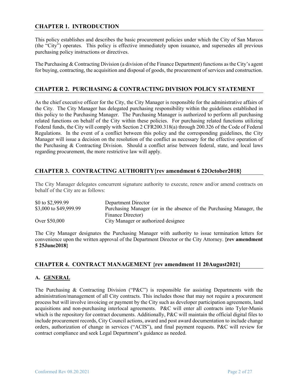# **CHAPTER 1. INTRODUCTION**

This policy establishes and describes the basic procurement policies under which the City of San Marcos (the "City") operates. This policy is effective immediately upon issuance, and supersedes all previous purchasing policy instructions or directives.

The Purchasing & Contracting Division (a division of the Finance Department) functions as the City's agent for buying, contracting, the acquisition and disposal of goods, the procurement of services and construction.

# **CHAPTER 2. PURCHASING & CONTRACTING DIVISION POLICY STATEMENT**

As the chief executive officer for the City, the City Manager is responsible for the administrative affairs of the City. The City Manager has delegated purchasing responsibility within the guidelines established in this policy to the Purchasing Manager. The Purchasing Manager is authorized to perform all purchasing related functions on behalf of the City within these policies. For purchasing related functions utilizing Federal funds, the City will comply with Section 2 CFR200.318(a) through 200.326 of the Code of Federal Regulations. In the event of a conflict between this policy and the corresponding guidelines, the City Manager will issue a decision on the resolution of the conflict as necessary for the effective operation of the Purchasing & Contracting Division. Should a conflict arise between federal, state, and local laws regarding procurement, the more restrictive law will apply.

# **CHAPTER 3. CONTRACTING AUTHORITY{rev amendment 6 22October2018}**

The City Manager delegates concurrent signature authority to execute, renew and/or amend contracts on behalf of the City are as follows:

| \$0 to \$2,999.99      | Department Director                                                  |
|------------------------|----------------------------------------------------------------------|
| \$3,000 to \$49,999.99 | Purchasing Manager (or in the absence of the Purchasing Manager, the |
|                        | Finance Director)                                                    |
| Over \$50,000          | City Manager or authorized designee                                  |

The City Manager designates the Purchasing Manager with authority to issue termination letters for convenience upon the written approval of the Department Director or the City Attorney. **{rev amendment 5 25June2018}**

# **CHAPTER 4. CONTRACT MANAGEMENT {rev amendment 11 20August2021}**

#### **A. GENERAL**

The Purchasing & Contracting Division ("P&C") is responsible for assisting Departments with the administration/management of all City contracts. This includes those that may not require a procurement process but will involve invoicing or payment by the City such as developer participation agreements, land acquisitions and non-purchasing interlocal agreements. P&C will enter all contracts into Tyler-Munis which is the repository for contract documents. Additionally, P&C will maintain the official digital files to include procurement records, City Council actions, award and post award documentation to include change orders, authorization of change in services ("ACIS"), and final payment requests. P&C will review for contract compliance and seek Legal Department's guidance as needed.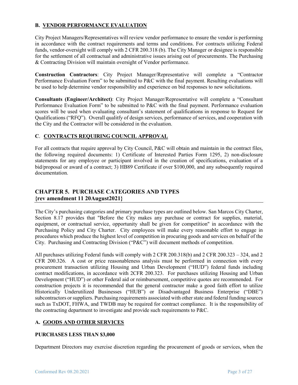# **B. VENDOR PERFORMANCE EVALUATION**

City Project Managers/Representatives will review vendor performance to ensure the vendor is performing in accordance with the contract requirements and terms and conditions. For contracts utilizing Federal funds, vendor-oversight will comply with 2 CFR 200.318 (b). The City Manager or designee is responsible for the settlement of all contractual and administrative issues arising out of procurements. The Purchasing & Contracting Division will maintain oversight of Vendor performance.

**Construction Contractors**: City Project Manager/Representative will complete a "Contractor Performance Evaluation Form" to be submitted to P&C with the final payment. Resulting evaluations will be used to help determine vendor responsibility and experience on bid responses to new solicitations.

**Consultants (Engineer/Architect)**: City Project Manager/Representative will complete a "Consultant Performance Evaluation Form" to be submitted to P&C with the final payment. Performance evaluation scores will be used when evaluating consultant's statement of qualifications in response to Request for Qualifications ("RFQ"). Overall qualitfy of design services, performance of services, and cooperation with the City and the Contractor will be considered in the evaluation.

# **C**. **CONTRACTS REQUIRING COUNCIL APPROVAL**

For all contracts that require approval by City Council, P&C will obtain and maintain in the contract files, the following required documents: 1) Certificate of Interested Parties Form 1295, 2) non-disclosure statements for any employee or participant involved in the creation of specifications, evaluation of a bid/proposal or award of a contract; 3) HB89 Certificate if over \$100,000, and any subsequently required documentation.

# **CHAPTER 5. PURCHASE CATEGORIES AND TYPES {rev amendment 11 20August2021}**

The City's purchasing categories and primary purchase types are outlined below. San Marcos City Charter, Section 8.17 provides that "Before the City makes any purchase or contract for supplies, material, equipment, or contractual service, opportunity shall be given for competition" in accordance with the Purchasing Policy and City Charter. City employees will make every reasonable effort to engage in procedures which produce the highest level of competition in procuring goods and services on behalf of the City. Purchasing and Contracting Division ("P&C") will document methods of competition.

All purchases utilizing Federal funds will comply with 2 CFR 200.318(b) and 2 CFR 200.323 – 324, and 2 CFR 200.326. A cost or price reasonableness analysis must be performed in connection with every procurement transaction utilizing Housing and Urban Development ("HUD") federal funds including contract modifications, in accordance with 2CFR 200.323. For purchases utilizing Housing and Urban Development ("HUD") or other Federal aid or reimbursement, competitive quotes are recommended. For construction projects it is recommended that the general contractor make a good faith effort to utilize Historically Underutilized Businesses ("HUB") or Disadvantaged Business Enterprise ("DBE") subcontractors or suppliers. Purchasing requirements associated with other state and federal funding sources such as TxDOT, FHWA, and TWDB may be required for contract compliance. It is the responsibility of the contracting department to investigate and provide such requirements to P&C.

# **A. GOODS AND OTHER SERVICES**

# **PURCHASES LESS THAN \$3,000**

Department Directors may exercise discretion regarding the procurement of goods or services, when the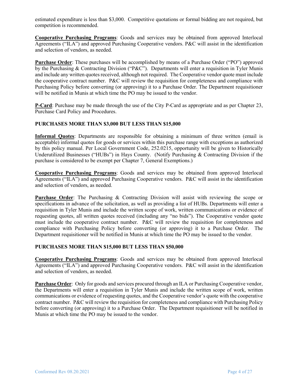estimated expenditure is less than \$3,000. Competitive quotations or formal bidding are not required, but competition is recommended.

**Cooperative Purchasing Programs**: Goods and services may be obtained from approved Interlocal Agreements ("ILA") and approved Purchasing Cooperative vendors. P&C will assist in the identification and selection of vendors, as needed.

**Purchase Order**: These purchases will be accomplished by means of a Purchase Order ("PO") approved by the Purchasing & Contracting Division ("P&C"). Departments will enter a requisition in Tyler Munis and include any written quotes received, although not required. The Cooperative vendor quote must include the cooperative contract number. P&C will review the requisition for completeness and compliance with Purchasing Policy before converting (or approving) it to a Purchase Order. The Department requisitioner will be notified in Munis at which time the PO may be issued to the vendor.

**P-Card**: Purchase may be made through the use of the City P-Card as appropriate and as per Chapter 23, Purchase Card Policy and Procedures.

#### **PURCHASES MORE THAN \$3,000 BUT LESS THAN \$15,000**

**Informal Quotes**: Departments are responsible for obtaining a minimum of three written (email is acceptable) informal quotes for goods or services within this purchase range with exceptions as authorized by this policy manual. Per Local Government Code, 252.0215, opportunity will be given to Historically Underutilized Businesses ("HUBs") in Hays County. (Notify Purchasing & Contracting Division if the purchase is considered to be exempt per Chapter 7, General Exemptions.)

**Cooperative Purchasing Programs**: Goods and services may be obtained from approved Interlocal Agreements ("ILA") and approved Purchasing Cooperative vendors. P&C will assist in the identification and selection of vendors, as needed.

**Purchase Order**: The Purchasing & Contracting Division will assist with reviewing the scope or specifications in advance of the solicitation, as well as providing a list of HUBs. Departments will enter a requisition in Tyler Munis and include the written scope of work, written communications or evidence of requesting quotes, all written quotes received (including any "no bids"). The Cooperative vendor quote must include the cooperative contract number. P&C will review the requisition for completeness and compliance with Purchasing Policy before converting (or approving) it to a Purchase Order. The Department requisitioner will be notified in Munis at which time the PO may be issued to the vendor.

#### **PURCHASES MORE THAN \$15,000 BUT LESS THAN \$50,000**

**Cooperative Purchasing Programs**: Goods and services may be obtained from approved Interlocal Agreements ("ILA") and approved Purchasing Cooperative vendors. P&C will assist in the identification and selection of vendors, as needed.

**Purchase Order**: Only for goods and services procured through an ILA or Purchasing Cooperative vendor, the Departments will enter a requisition in Tyler Munis and include the written scope of work, written communications or evidence of requesting quotes, and the Cooperative vendor's quote with the cooperative contract number. P&C will review the requisition for completeness and compliance with Purchasing Policy before converting (or approving) it to a Purchase Order. The Department requisitioner will be notified in Munis at which time the PO may be issued to the vendor.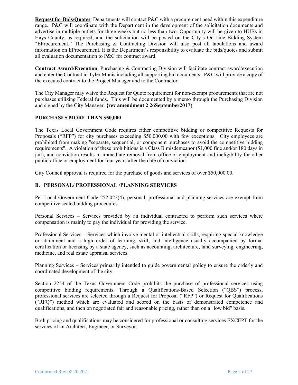**Request for Bids/Quotes**: Departments will contact P&C with a procurement need within this expenditure range. P&C will coordinate with the Department in the development of the solicitation documents and advertise in multiple outlets for three weeks but no less than two. Opportunity will be given to HUBs in Hays County, as required, and the solicitation will be posted on the City's On-Line Bidding System "EProcurement." The Purchasing & Contracting Division will also post all tabulations and award information on EProcurement. It is the Department's responsibility to evaluate the bids/quotes and submit all evaluation documentation to P&C for contract award.

**Contract Award/Execution**: Purchasing & Contracting Division will facilitate contract award/execution and enter the Contract in Tyler Munis including all supporting bid documents. P&C will provide a copy of the executed contract to the Project Manager and to the Contractor.

The City Manager may waive the Request for Quote requirement for non-exempt procurements that are not purchases utilizing Federal funds. This will be documented by a memo through the Purchasing Division and signed by the City Manager. **{rev amendment 2 26September2017}**

#### **PURCHASES MORE THAN \$50,000**

The Texas Local Government Code requires either competitive bidding or competitive Requests for Proposals ("RFP") for city purchases exceeding \$50,000.00 with few exceptions. City employees are prohibited from making "separate, sequential, or component purchases to avoid the competitive bidding requirements". A violation of these prohibitions is a Class B misdemeanor (\$1,000 fine and/or 180 days in jail), and conviction results in immediate removal from office or employment and ineligibility for other public office or employment for four years after the date of conviction.

City Council approval is required for the purchase of goods and services of over \$50,000.00.

#### **B. PERSONAL/ PROFESSIONAL /PLANNING SERVICES**

Per Local Government Code 252.022(4), personal, professional and planning services are exempt from competitive sealed bidding procedures.

Personal Services – Services provided by an individual contracted to perform such services where compensation is mainly to pay the individual for providing the service.

Professional Services – Services which involve mental or intellectual skills, requiring special knowledge or attainment and a high order of learning, skill, and intelligence usually accompanied by formal certification or licensing by a state agency, such as accounting, architecture, land surveying, engineering, medicine, and real estate appraisal services.

Planning Services – Services primarily intended to guide governmental policy to ensure the orderly and coordinated development of the city.

Section 2254 of the Texas Government Code prohibits the purchase of professional services using competitive bidding requirements. Through a Qualifications-Based Selection ("QBS") process, professional services are selected through a Request for Proposal ("RFP") or Request for Qualifications ("RFQ") method which are evaluated and scored on the basis of demonstrated competence and qualifications, and then on negotiated fair and reasonable pricing, rather than on a "low bid" basis.

Both pricing and qualifications may be considered for professional or consulting services EXCEPT for the services of an Architect, Engineer, or Surveyor.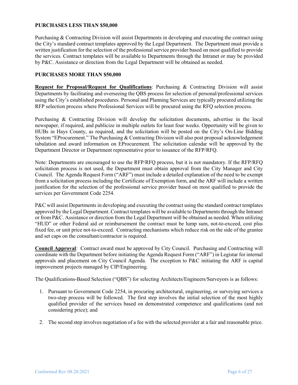#### **PURCHASES LESS THAN \$50,000**

Purchasing & Contracting Division will assist Departments in developing and executing the contract using the City's standard contract templates approved by the Legal Department. The Department must provide a written justification for the selection of the professional service provider based on most qualified to provide the services. Contract templates will be available to Departments through the Intranet or may be provided by P&C. Assistance or direction from the Legal Department will be obtained as needed.

#### **PURCHASES MORE THAN \$50,000**

**Request for Proposal/Request for Qualifications**: Purchasing & Contracting Division will assist Departments by facilitating and overseeing the QBS process for selection of personal/professional services using the City's established procedures. Personal and Planning Services are typically procured utilizing the RFP selection process where Professional Services will be procured using the RFQ selection process.

Purchasing & Contracting Division will develop the solicitation documents, advertise in the local newspaper, if required, and publicize in multiple outlets for least four weeks. Opportunity will be given to HUBs in Hays County, as required, and the solicitation will be posted on the City's On-Line Bidding System "EProcurement." The Purchasing & Contracting Division will also post proposal acknowledgement tabulation and award information on EProcurement. The solicitation calendar will be approved by the Department Director or Department representative prior to issuance of the RFP/RFQ.

Note: Departments are encouraged to use the RFP/RFQ process, but it is not mandatory. If the RFP/RFQ solicitation process is not used, the Department must obtain approval from the City Manager and City Council. The Agenda Request Form ("ARF") must include a detailed explanation of the need to be exempt from a solicitation process including the Certificate of Exemption form, and the ARF will include a written justification for the selection of the professional service provider based on most qualified to provide the services per Government Code 2254.

P&C will assist Departments in developing and executing the contract using the standard contract templates approved by the Legal Department. Contract templates will be available to Departments through the Intranet or from P&C. Assistance or direction from the Legal Department will be obtained as needed. When utilizing "HUD" or other Federal aid or reimbursement the contract must be lump sum, not-to-exceed, cost plus fixed fee, or unit price not-to-exceed. Contracting mechanisms which reduce risk on the side of the grantee and set caps on the consultant/contractor is required.

**Council Approval**: Contract award must be approved by City Council. Purchasing and Contracting will coordinate with the Department before initiating the Agenda Request Form ("ARF") in Legistar for internal approvals and placement on City Council Agenda. The exception to P&C initiating the ARF is capital improvement projects managed by CIP/Engineering.

The Qualifications-Based Selection ("QBS") for selecting Architects/Engineers/Surveyors is as follows:

- 1. Pursuant to Government Code 2254, in procuring architectural, engineering, or surveying services a two-step process will be followed. The first step involves the initial selection of the most highly qualified provider of the services based on demonstrated competence and qualifications (and not considering price); and
- 2. The second step involves negotiation of a fee with the selected provider at a fair and reasonable price.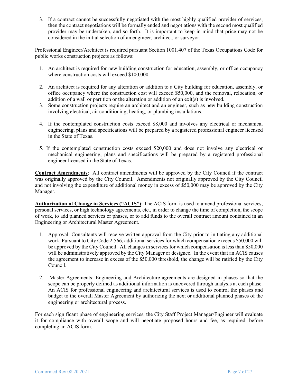3. If a contract cannot be successfully negotiated with the most highly qualified provider of services, then the contract negotiations will be formally ended and negotiations with the second most qualified provider may be undertaken, and so forth. It is important to keep in mind that price may not be considered in the initial selection of an engineer, architect, or surveyor.

Professional Engineer/Architect is required pursuant Section 1001.407 of the Texas Occupations Code for public works construction projects as follows:

- 1. An architect is required for new building construction for education, assembly, or office occupancy where construction costs will exceed \$100,000.
- 2. An architect is required for any alteration or addition to a City building for education, assembly, or office occupancy where the construction cost will exceed \$50,000, and the removal, relocation, or addition of a wall or partition or the alteration or addition of an exit(s) is involved.
- 3. Some construction projects require an architect and an engineer, such as new building construction involving electrical, air conditioning, heating, or plumbing installations.
- 4. If the contemplated construction costs exceed \$8,000 and involves any electrical or mechanical engineering, plans and specifications will be prepared by a registered professional engineer licensed in the State of Texas.
- 5. If the contemplated construction costs exceed \$20,000 and does not involve any electrical or mechanical engineering, plans and specifications will be prepared by a registered professional engineer licensed in the State of Texas.

**Contract Amendments**: All contract amendments will be approved by the City Council if the contract was originally approved by the City Council. Amendments not originally approved by the City Council and not involving the expenditure of additional money in excess of \$50,000 may be approved by the City Manager.

**Authorization of Change in Services ("ACIS")**: The ACIS form is used to amend professional services, personal services, or high technology agreements, etc., in order to change the time of completion, the scope of work, to add planned services or phases, or to add funds to the overall contract amount contained in an Engineering or Architectural Master Agreement.

- 1. Approval: Consultants will receive written approval from the City prior to initiating any additional work. Pursuant to City Code 2.566, additional services for which compensation exceeds \$50,000 will be approved by the City Council. All changes in services for which compensation is less than \$50,000 will be administratively approved by the City Manager or designee. In the event that an ACIS causes the agreement to increase in excess of the \$50,000 threshold, the change will be ratified by the City Council.
- 2. Master Agreements: Engineering and Architecture agreements are designed in phases so that the scope can be properly defined as additional information is uncovered through analysis at each phase. An ACIS for professional engineering and architectural services is used to control the phases and budget to the overall Master Agreement by authorizing the next or additional planned phases of the engineering or architectural process.

For each significant phase of engineering services, the City Staff Project Manager/Engineer will evaluate it for compliance with overall scope and will negotiate proposed hours and fee, as required, before completing an ACIS form.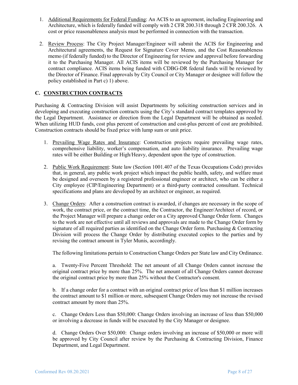- 1. Additional Requirements for Federal Funding: An ACIS to an agreement, including Engineering and Architecture, which is federally funded will comply with 2 CFR 200.318 through 2 CFR 200.326. A cost or price reasonableness analysis must be performed in connection with the transaction.
- 2. Review Process: The City Project Manager/Engineer will submit the ACIS for Engineering and Architectural agreements, the Request for Signature Cover Memo, and the Cost Reasonableness memo (if federally funded) to the Director of Engineering for review and approval before forwarding it to the Purchasing Manager. All ACIS items will be reviewed by the Purchasing Manager for contract compliance. ACIS items being funded with CDBG-DR federal funds will be reviewed by the Director of Finance. Final approvals by City Council or City Manager or designee will follow the policy established in Part c) 1) above.

# **C. CONSTRUCTION CONTRACTS**

Purchasing & Contracting Division will assist Departments by soliciting construction services and in developing and executing construction contracts using the City's standard contract templates approved by the Legal Department. Assistance or direction from the Legal Department will be obtained as needed. When utilizing HUD funds, cost plus percent of construction and cost-plus percent of cost are prohibited. Construction contracts should be fixed price with lump sum or unit price.

- 1. Prevailing Wage Rates and Insurance: Construction projects require prevailing wage rates, comprehensive liability, worker's compensation, and auto liability insurance. Prevailing wage rates will be either Building or High/Heavy, dependent upon the type of construction.
- 2. Public Work Requirement: State law (Section 1001.407 of the Texas Occupations Code) provides that, in general, any public work project which impact the public health, safety, and welfare must be designed and overseen by a registered professional engineer or architect, who can be either a City employee (CIP/Engineering Department) or a third-party contracted consultant. Technical specifications and plans are developed by an architect or engineer, as required.
- 3. Change Orders: After a construction contract is awarded, if changes are necessary in the scope of work, the contract price, or the contract time, the Contractor, the Engineer/Architect of record, or the Project Manager will prepare a change order on a City approved Change Order form. Changes to the work are not effective until all reviews and approvals are made to the Change Order form by signature of all required parties as identified on the Change Order form. Purchasing & Contracting Division will process the Change Order by distributing executed copies to the parties and by revising the contract amount in Tyler Munis, accordingly.

The following limitations pertain to Construction Change Orders per State law and City Ordinance.

a. Twenty-Five Percent Threshold: The net amount of all Change Orders cannot increase the original contract price by more than 25%. The net amount of all Change Orders cannot decrease the original contract price by more than 25% without the Contractor's consent.

b. If a change order for a contract with an original contract price of less than \$1 million increases the contract amount to \$1 million or more, subsequent Change Orders may not increase the revised contract amount by more than 25%.

c. Change Orders Less than \$50,000: Change Orders involving an increase of less than \$50,000 or involving a decrease in funds will be executed by the City Manager or designee.

d. Change Orders Over \$50,000: Change orders involving an increase of \$50,000 or more will be approved by City Council after review by the Purchasing & Contracting Division, Finance Department, and Legal Department.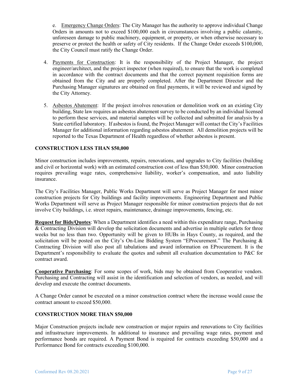e. Emergency Change Orders: The City Manager has the authority to approve individual Change Orders in amounts not to exceed \$100,000 each in circumstances involving a public calamity, unforeseen damage to public machinery, equipment, or property, or when otherwise necessary to preserve or protect the health or safety of City residents. If the Change Order exceeds \$100,000, the City Council must ratify the Change Order.

- 4. Payments for Construction: It is the responsibility of the Project Manager, the project engineer/architect, and the project inspector (when required), to ensure that the work is completed in accordance with the contract documents and that the correct payment requisition forms are obtained from the City and are properly completed. After the Department Director and the Purchasing Manager signatures are obtained on final payments, it will be reviewed and signed by the City Attorney.
- 5. Asbestos Abatement: If the project involves renovation or demolition work on an existing City building, State law requires an asbestos abatement survey to be conducted by an individual licensed to perform these services, and material samples will be collected and submitted for analysis by a State certified laboratory. If asbestos is found, the Project Manager will contact the City's Facilities Manager for additional information regarding asbestos abatement. All demolition projects will be reported to the Texas Department of Health regardless of whether asbestos is present.

#### **CONSTRUCTION LESS THAN \$50,000**

Minor construction includes improvements, repairs, renovations, and upgrades to City facilities (building and civil or horizontal work) with an estimated construction cost of less than \$50,000. Minor construction requires prevailing wage rates, comprehensive liability, worker's compensation, and auto liability insurance.

The City's Facilities Manager, Public Works Department will serve as Project Manager for most minor construction projects for City buildings and facility improvements. Engineering Department and Public Works Department will serve as Project Manager responsible for minor construction projects that do not involve City buildings, i.e. street repairs, maintenance, drainage improvements, fencing, etc.

**Request for Bids/Quotes**: When a Department identifies a need within this expenditure range, Purchasing & Contracting Division will develop the solicitation documents and advertise in multiple outlets for three weeks but no less than two. Opportunity will be given to HUBs in Hays County, as required, and the solicitation will be posted on the City's On-Line Bidding System "EProcurement." The Purchasing & Contracting Division will also post all tabulations and award information on EProcurement. It is the Department's responsibility to evaluate the quotes and submit all evaluation documentation to P&C for contract award.

**Cooperative Purchasing**: For some scopes of work, bids may be obtained from Cooperative vendors. Purchasing and Contracting will assist in the identification and selection of vendors, as needed, and will develop and execute the contract documents.

A Change Order cannot be executed on a minor construction contract where the increase would cause the contract amount to exceed \$50,000.

#### **CONSTRUCTION MORE THAN \$50,000**

Major Construction projects include new construction or major repairs and renovations to City facilities and infrastructure improvements. In additional to insurance and prevailing wage rates, payment and performance bonds are required. A Payment Bond is required for contracts exceeding \$50,000 and a Performance Bond for contracts exceeding \$100,000.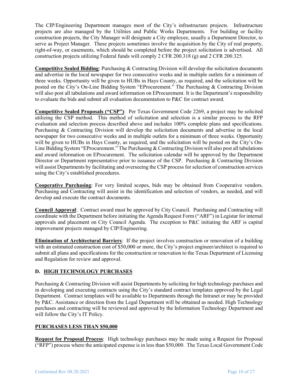The CIP/Engineering Department manages most of the City's infrastructure projects. Infrastructure projects are also managed by the Utilities and Public Works Departments. For building or facility construction projects, the City Manager will designate a City employee, usually a Department Director, to serve as Project Manager. These projects sometimes involve the acquisition by the City of real property, right-of-way, or easements, which should be completed before the project solicitation is advertised. All construction projects utilizing Federal funds will comply 2 CFR 200.318 (g) and 2 CFR 200.325.

**Competitive Sealed Bidding**: Purchasing & Contracting Division will develop the solicitation documents and advertise in the local newspaper for two consecutive weeks and in multiple outlets for a minimum of three weeks. Opportunity will be given to HUBs in Hays County, as required, and the solicitation will be posted on the City's On-Line Bidding System "EProcurement." The Purchasing & Contracting Division will also post all tabulations and award information on EProcurement. It is the Department's responsibility to evaluate the bids and submit all evaluation documentation to P&C for contract award.

**Competitive Sealed Proposals ("CSP")**: Per Texas Government Code 2269, a project may be solicited utilizing the CSP method. This method of solicitation and selection is a similar process to the RFP evaluation and selection process described above and includes 100% complete plans and specifications. Purchasing & Contracting Division will develop the solicitation documents and advertise in the local newspaper for two consecutive weeks and in multiple outlets for a minimum of three weeks. Opportunity will be given to HUBs in Hays County, as required, and the solicitation will be posted on the City's On-Line Bidding System "EProcurement." The Purchasing & Contracting Division will also post all tabulations and award information on EProcurement. The solicitation calendar will be approved by the Department Director or Department representative prior to issuance of the CSP. Purchasing & Contracting Division will assist Departments by facilitating and overseeing the CSP process for selection of construction services using the City's established procedures.

**Cooperative Purchasing**: For very limited scopes, bids may be obtained from Cooperative vendors. Purchasing and Contracting will assist in the identification and selection of vendors, as needed, and will develop and execute the contract documents.

**Council Approval**: Contract award must be approved by City Council. Purchasing and Contracting will coordinate with the Department before initiating the Agenda Request Form ("ARF") in Legistar for internal approvals and placement on City Council Agenda. The exception to P&C initiating the ARF is capital improvement projects managed by CIP/Engineering.

**Elimination of Architectural Barriers**: If the project involves construction or renovation of a building with an estimated construction cost of \$50,000 or more, the City's project engineer/architect is required to submit all plans and specifications for the construction or renovation to the Texas Department of Licensing and Regulation for review and approval.

# **D. HIGH TECHNOLOGY PURCHASES**

Purchasing & Contracting Division will assist Departments by soliciting for high technology purchases and in developing and executing contracts using the City's standard contract templates approved by the Legal Department. Contract templates will be available to Departments through the Intranet or may be provided by P&C. Assistance or direction from the Legal Department will be obtained as needed. High Technology purchases and contracting will be reviewed and approved by the Information Technology Department and will follow the City's IT Policy.

# **PURCHASES LESS THAN \$50,000**

**Request for Proposal Process**: High technology purchases may be made using a Request for Proposal ("RFP") process where the anticipated expense is in less than \$50,000. The Texas Local Government Code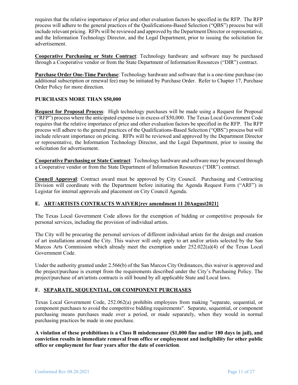requires that the relative importance of price and other evaluation factors be specified in the RFP. The RFP process will adhere to the general practices of the Qualifications-Based Selection ("QBS") process but will include relevant pricing. RFPs will be reviewed and approved by the Department Director or representative, and the Information Technology Director, and the Legal Department, prior to issuing the solicitation for advertisement.

**Cooperative Purchasing or State Contract**: Technology hardware and software may be purchased through a Cooperative vendor or from the State Department of Information Resources ("DIR") contract.

**Purchase Order One-Time Purchase**: Technology hardware and software that is a one-time purchase (no additional subscription or renewal fee) may be initiated by Purchase Order. Refer to Chapter 17, Purchase Order Policy for more direction.

#### **PURCHASES MORE THAN \$50,000**

**Request for Proposal Process**: High technology purchases will be made using a Request for Proposal ("RFP") process where the anticipated expense is in excess of \$50,000. The Texas Local Government Code requires that the relative importance of price and other evaluation factors be specified in the RFP. The RFP process will adhere to the general practices of the Qualifications-Based Selection ("QBS") process but will include relevant importance on pricing. RFPs will be reviewed and approved by the Department Director or representative, the Information Technology Director, and the Legal Department, prior to issuing the solicitation for advertisement.

**Cooperative Purchasing or State Contract**: Technology hardware and software may be procured through a Cooperative vendor or from the State Department of Information Resources ("DIR") contract.

**Council Approval**: Contract award must be approved by City Council. Purchasing and Contracting Division will coordinate with the Department before initiating the Agenda Request Form ("ARF") in Legistar for internal approvals and placement on City Council Agenda.

#### **E. ART/ARTISTS CONTRACTS WAIVER{rev amendment 11 20August2021}**

The Texas Local Government Code allows for the exemption of bidding or competitive proposals for personal services, including the provision of individual artists.

The City will be procuring the personal services of different individual artists for the design and creation of art installations around the City. This waiver will only apply to art and/or artists selected by the San Marcos Arts Commission which already meet the exemption under 252.022(a)(4) of the Texas Local Government Code.

Under the authority granted under 2.566(b) of the San Marcos City Ordinances, this waiver is approved and the project/purchase is exempt from the requirements described under the City's Purchasing Policy. The project/purchase of art/artists contracts is still bound by all applicable State and Local laws.

#### **F. SEPARATE, SEQUENTIAL, OR COMPONENT PURCHASES**

Texas Local Government Code, 252.062(a) prohibits employees from making "separate, sequential, or component purchases to avoid the competitive bidding requirements".Separate, sequential, or component purchasing means purchases made over a period, or made separately, when they would in normal purchasing practices be made in one purchase.

**A violation of these prohibitions is a Class B misdemeanor (\$1,000 fine and/or 180 days in jail), and conviction results in immediate removal from office or employment and ineligibility for other public office or employment for four years after the date of conviction**.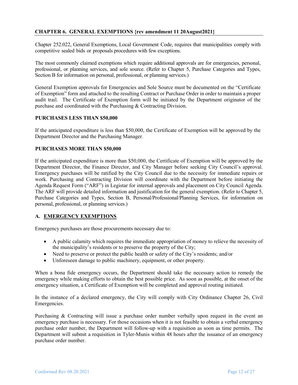# **CHAPTER 6. GENERAL EXEMPTIONS {rev amendment 11 20August2021}**

Chapter 252.022, General Exemptions, Local Government Code, requires that municipalities comply with competitive sealed bids or proposals procedures with few exceptions.

The most commonly claimed exemptions which require additional approvals are for emergencies, personal, professional, or planning services, and sole source. (Refer to Chapter 5, Purchase Categories and Types, Section B for information on personal, professional, or planning services.)

General Exemption approvals for Emergencies and Sole Source must be documented on the "Certificate of Exemption" form and attached to the resulting Contract or Purchase Order in order to maintain a proper audit trail. The Certificate of Exemption form will be initiated by the Department originator of the purchase and coordinated with the Purchasing & Contracting Division.

#### **PURCHASES LESS THAN \$50,000**

If the anticipated expenditure is less than \$50,000, the Certificate of Exemption will be approved by the Department Director and the Purchasing Manager.

#### **PURCHASES MORE THAN \$50,000**

If the anticipated expenditure is more than \$50,000, the Certificate of Exemption will be approved by the Department Director, the Finance Director, and City Manager before seeking City Council's approval. Emergency purchases will be ratified by the City Council due to the necessity for immediate repairs or work. Purchasing and Contracting Division will coordinate with the Department before initiating the Agenda Request Form ("ARF") in Legistar for internal approvals and placement on City Council Agenda. The ARF will provide detailed information and justification for the general exemption. (Refer to Chapter 5, Purchase Categories and Types, Section B, Personal/Professional/Planning Services, for information on personal, professional, or planning services.)

#### **A. EMERGENCY EXEMPTIONS**

Emergency purchases are those procurements necessary due to:

- A public calamity which requires the immediate appropriation of money to relieve the necessity of the municipality's residents or to preserve the property of the City;
- Need to preserve or protect the public health or safety of the City's residents; and/or
- Unforeseen damage to public machinery, equipment, or other property.

When a bona fide emergency occurs, the Department should take the necessary action to remedy the emergency while making efforts to obtain the best possible price. As soon as possible, at the onset of the emergency situation, a Certificate of Exemption will be completed and approval routing initiated.

In the instance of a declared emergency, the City will comply with City Ordinance Chapter 26, Civil Emergencies.

Purchasing & Contracting will issue a purchase order number verbally upon request in the event an emergency purchase is necessary. For those occasions when it is not feasible to obtain a verbal emergency purchase order number, the Department will follow-up with a requisition as soon as time permits. The Department will submit a requisition in Tyler-Munis within 48 hours after the issuance of an emergency purchase order number.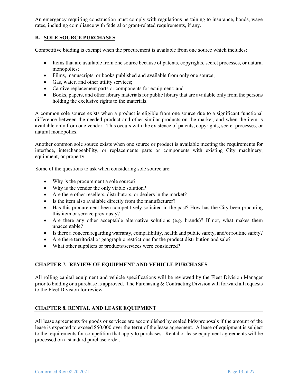An emergency requiring construction must comply with regulations pertaining to insurance, bonds, wage rates, including compliance with federal or grant-related requirements, if any.

# **B. SOLE SOURCE PURCHASES**

Competitive bidding is exempt when the procurement is available from one source which includes:

- Items that are available from one source because of patents, copyrights, secret processes, or natural monopolies;
- Films, manuscripts, or books published and available from only one source;
- Gas, water, and other utility services;
- Captive replacement parts or components for equipment; and
- Books, papers, and other library materials for public library that are available only from the persons holding the exclusive rights to the materials.

A common sole source exists when a product is eligible from one source due to a significant functional difference between the needed product and other similar products on the market, and when the item is available only from one vendor. This occurs with the existence of patents, copyrights, secret processes, or natural monopolies.

Another common sole source exists when one source or product is available meeting the requirements for interface, interchangeability, or replacements parts or components with existing City machinery, equipment, or property.

Some of the questions to ask when considering sole source are:

- Why is the procurement a sole source?
- Why is the vendor the only viable solution?
- Are there other resellers, distributors, or dealers in the market?
- Is the item also available directly from the manufacturer?
- Has this procurement been competitively solicited in the past? How has the City been procuring this item or service previously?
- Are there any other acceptable alternative solutions (e.g. brands)? If not, what makes them unacceptable?
- Is there a concern regarding warranty, compatibility, health and public safety, and/or routine safety?
- Are there territorial or geographic restrictions for the product distribution and sale?
- What other suppliers or products/services were considered?

#### **CHAPTER 7. REVIEW OF EQUIPMENT AND VEHICLE PURCHASES**

All rolling capital equipment and vehicle specifications will be reviewed by the Fleet Division Manager prior to bidding or a purchase is approved. The Purchasing  $&$  Contracting Division will forward all requests to the Fleet Division for review.

#### **CHAPTER 8. RENTAL AND LEASE EQUIPMENT**

All lease agreements for goods or services are accomplished by sealed bids/proposals if the amount of the lease is expected to exceed \$50,000 over the **term** of the lease agreement. A lease of equipment is subject to the requirements for competition that apply to purchases. Rental or lease equipment agreements will be processed on a standard purchase order.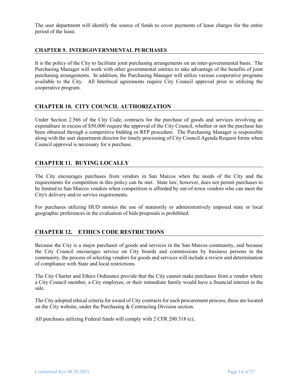The user department will identify the source of funds to cover payments of lease charges for the entire period of the lease.

#### **CHAPTER 9. INTERGOVERNMENTAL PURCHASES**

It is the policy of the City to facilitate joint purchasing arrangements on an inter-governmental basis. The Purchasing Manager will work with other governmental entities to take advantage of the benefits of joint purchasing arrangements. In addition, the Purchasing Manager will utilize various cooperative programs available to the City. All Interlocal agreements require City Council approval prior to utilizing the cooperative program.

#### **CHAPTER 10. CITY COUNCIL AUTHORIZATION**

Under Section 2.566 of the City Code, contracts for the purchase of goods and services involving an expenditure in excess of \$50,000 require the approval of the City Council, whether or not the purchase has been obtained through a competitive bidding or RFP procedure. The Purchasing Manager is responsible along with the user department director for timely processing of City Council Agenda Request forms when Council approval is necessary for a purchase.

# **CHAPTER 11. BUYING LOCALLY**

The City encourages purchases from vendors in San Marcos when the needs of the City and the requirements for competition in this policy can be met. State law, however, does not permit purchases to be limited to San Marcos vendors when competition is afforded by out-of-town vendors who can meet the City's delivery and/or service requirements.

For purchases utilizing HUD monies the use of statutorily or administratively imposed state or local geographic preferences in the evaluation of bids/proposals is prohibited.

# **CHAPTER 12. ETHICS CODE RESTRICTIONS**

Because the City is a major purchaser of goods and services in the San Marcos community, and because the City Council encourages service on City boards and commissions by business persons in the community, the process of selecting vendors for goods and services will include a review and determination of compliance with State and local restrictions.

The City Charter and Ethics Ordinance provide that the City cannot make purchases from a vendor where a City Council member, a City employee, or their immediate family would have a financial interest in the sale.

The City adopted ethical criteria for award of City contracts for each procurement process, these are located on the City website, under the Purchasing & Contracting Division section.

All purchases utilizing Federal funds will comply with 2 CFR 200.318 (c),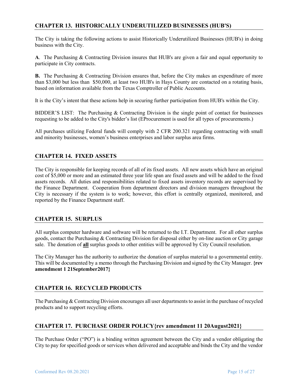# **CHAPTER 13. HISTORICALLY UNDERUTILIZED BUSINESSES (HUB'S)**

The City is taking the following actions to assist Historically Underutilized Businesses (HUB's) in doing business with the City.

**A**. The Purchasing & Contracting Division insures that HUB's are given a fair and equal opportunity to participate in City contracts.

**B.** The Purchasing & Contracting Division ensures that, before the City makes an expenditure of more than \$3,000 but less than \$50,000, at least two HUB's in Hays County are contacted on a rotating basis, based on information available from the Texas Comptroller of Public Accounts.

It is the City's intent that these actions help in securing further participation from HUB's within the City.

BIDDER'S LIST: The Purchasing & Contracting Division is the single point of contact for businesses requesting to be added to the City's bidder's list (EProcurement is used for all types of procurements.)

All purchases utilizing Federal funds will comply with 2 CFR 200.321 regarding contracting with small and minority businesses, women's business enterprises and labor surplus area firms.

# **CHAPTER 14. FIXED ASSETS**

The City is responsible for keeping records of all of its fixed assets. All new assets which have an original cost of \$5,000 or more and an estimated three year life span are fixed assets and will be added to the fixed assets records. All duties and responsibilities related to fixed assets inventory records are supervised by the Finance Department. Cooperation from department directors and division managers throughout the City is necessary if the system is to work; however, this effort is centrally organized, monitored, and reported by the Finance Department staff.

# **CHAPTER 15. SURPLUS**

All surplus computer hardware and software will be returned to the I.T. Department. For all other surplus goods, contact the Purchasing & Contracting Division for disposal either by on-line auction or City garage sale. The donation of **all** surplus goods to other entities will be approved by City Council resolution.

The City Manager has the authority to authorize the donation of surplus material to a governmental entity. This will be documented by a memo through the Purchasing Division and signed by the City Manager. **{rev amendment 1 21September2017}**

# **CHAPTER 16. RECYCLED PRODUCTS**

The Purchasing & Contracting Division encourages all user departments to assist in the purchase of recycled products and to support recycling efforts.

# **CHAPTER 17. PURCHASE ORDER POLICY{rev amendment 11 20August2021}**

The Purchase Order ("PO") is a binding written agreement between the City and a vendor obligating the City to pay for specified goods or services when delivered and acceptable and binds the City and the vendor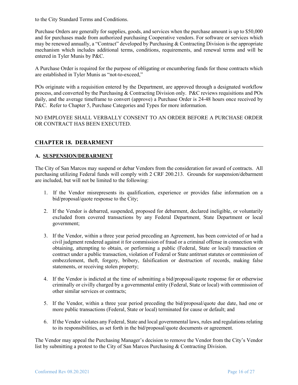to the City Standard Terms and Conditions.

Purchase Orders are generally for supplies, goods, and services when the purchase amount is up to \$50,000 and for purchases made from authorized purchasing Cooperative vendors. For software or services which may be renewed annually, a "Contract" developed by Purchasing & Contracting Division is the appropriate mechanism which includes additional terms, conditions, requirements, and renewal terms and will be entered in Tyler Munis by P&C.

A Purchase Order is required for the purpose of obligating or encumbering funds for those contracts which are established in Tyler Munis as "not-to-exceed,"

POs originate with a requisition entered by the Department, are approved through a designated workflow process, and converted by the Purchasing & Contracting Division only. P&C reviews requisitions and POs daily, and the average timeframe to convert (approve) a Purchase Order is 24-48 hours once received by P&C. Refer to Chapter 5, Purchase Categories and Types for more information.

NO EMPLOYEE SHALL VERBALLY CONSENT TO AN ORDER BEFORE A PURCHASE ORDER OR CONTRACT HAS BEEN EXECUTED.

# **CHAPTER 18. DEBARMENT**

#### **A. SUSPENSION/DEBARMENT**

The City of San Marcos may suspend or debar Vendors from the consideration for award of contracts. All purchasing utilizing Federal funds will comply with 2 CRF 200.213. Grounds for suspension/debarment are included, but will not be limited to the following:

- 1. If the Vendor misrepresents its qualification, experience or provides false information on a bid/proposal/quote response to the City;
- 2. If the Vendor is debarred, suspended, proposed for debarment, declared ineligible, or voluntarily excluded from covered transactions by any Federal Department, State Department or local government;
- 3. If the Vendor, within a three year period preceding an Agreement, has been convicted of or had a civil judgment rendered against it for commission of fraud or a criminal offense in connection with obtaining, attempting to obtain, or performing a public (Federal, State or local) transaction or contract under a public transaction, violation of Federal or State antitrust statutes or commission of embezzlement, theft, forgery, bribery, falsification or destruction of records, making false statements, or receiving stolen property;
- 4. If the Vendor is indicted at the time of submitting a bid/proposal/quote response for or otherwise criminally or civilly charged by a governmental entity (Federal, State or local) with commission of other similar services or contracts;
- 5. If the Vendor, within a three year period preceding the bid/proposal/quote due date, had one or more public transactions (Federal, State or local) terminated for cause or default; and
- 6. If the Vendor violates any Federal, State and local governmental laws, rules and regulations relating to its responsibilities, as set forth in the bid/proposal/quote documents or agreement.

The Vendor may appeal the Purchasing Manager's decision to remove the Vendor from the City's Vendor list by submitting a protest to the City of San Marcos Purchasing & Contracting Division.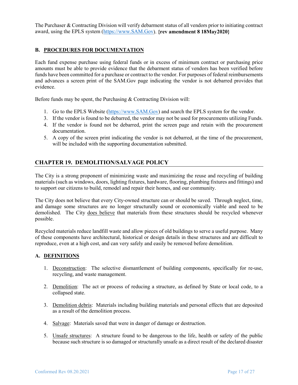The Purchaser & Contracting Division will verify debarment status of all vendors prior to initiating contract award, using the EPLS system [\(https://www.SAM.Gov\)](https://www.sam.gov/). **{rev amendment 8 18May2020}**

### **B. PROCEDURES FOR DOCUMENTATION**

Each fund expense purchase using federal funds or in excess of minimum contract or purchasing price amounts must be able to provide evidence that the debarment status of vendors has been verified before funds have been committed for a purchase or contract to the vendor. For purposes of federal reimbursements and advances a screen print of the SAM.Gov page indicating the vendor is not debarred provides that evidence.

Before funds may be spent, the Purchasing & Contracting Division will:

- 1. Go to the EPLS Website [\(https://www.SAM.Gov\)](https://www.sam.gov/) and search the EPLS system for the vendor.
- 3. If the vendor is found to be debarred, the vendor may not be used for procurements utilizing Funds.
- 4. If the vendor is found not be debarred, print the screen page and retain with the procurement documentation.
- 5. A copy of the screen print indicating the vendor is not debarred, at the time of the procurement, will be included with the supporting documentation submitted.

# **CHAPTER 19. DEMOLITION/SALVAGE POLICY**

The City is a strong proponent of minimizing waste and maximizing the reuse and recycling of building materials (such as windows, doors, lighting fixtures, hardware, flooring, plumbing fixtures and fittings) and to support our citizens to build, remodel and repair their homes, and our community.

The City does not believe that every City-owned structure can or should be saved. Through neglect, time, and damage some structures are no longer structurally sound or economically viable and need to be demolished. The City does believe that materials from these structures should be recycled whenever possible.

Recycled materials reduce landfill waste and allow pieces of old buildings to serve a useful purpose. Many of these components have architectural, historical or design details in these structures and are difficult to reproduce, even at a high cost, and can very safely and easily be removed before demolition.

#### **A. DEFINITIONS**

- 1. Deconstruction: The selective dismantlement of building components, specifically for re-use, recycling, and waste management.
- 2. Demolition: The act or process of reducing a structure, as defined by State or local code, to a collapsed state.
- 3. Demolition debris: Materials including building materials and personal effects that are deposited as a result of the demolition process.
- 4. Salvage: Materials saved that were in danger of damage or destruction.
- 5. Unsafe structures: A structure found to be dangerous to the life, health or safety of the public because such structure is so damaged or structurally unsafe as a direct result of the declared disaster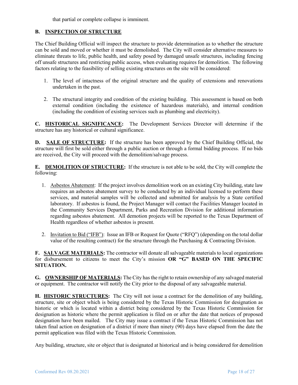that partial or complete collapse is imminent.

#### **B. INSPECTION OF STRUCTURE**

The Chief Building Official will inspect the structure to provide determination as to whether the structure can be sold and moved or whether it must be demolished. The City will consider alternative measures to eliminate threats to life, public health, and safety posed by damaged unsafe structures, including fencing off unsafe structures and restricting public access, when evaluating requires for demolition. The following factors relating to the feasibility of selling existing structures on the site will be considered:

- 1. The level of intactness of the original structure and the quality of extensions and renovations undertaken in the past.
- 2. The structural integrity and condition of the existing building. This assessment is based on both external condition (including the existence of hazardous materials), and internal condition (including the condition of existing services such as plumbing and electricity).

**C. HISTORICAL SIGNIFICANCE:** The Development Services Director will determine if the structure has any historical or cultural significance.

**D. SALE OF STRUCTURE:** If the structure has been approved by the Chief Building Official, the structure will first be sold either through a public auction or through a formal bidding process. If no bids are received, the City will proceed with the demolition/salvage process.

**E. DEMOLITION OF STRUCTURE:** If the structure is not able to be sold, the City will complete the following:

- 1. Asbestos Abatement: If the project involves demolition work on an existing City building, state law requires an asbestos abatement survey to be conducted by an individual licensed to perform these services, and material samples will be collected and submitted for analysis by a State certified laboratory. If asbestos is found, the Project Manager will contact the Facilities Manager located in the Community Services Department, Parks and Recreation Division for additional information regarding asbestos abatement. All demotion projects will be reported to the Texas Department of Health regardless of whether asbestos is present.
- 2. Invitation to Bid ("IFB"): Issue an IFB or Request for Quote ("RFQ") (depending on the total dollar value of the resulting contract) for the structure through the Purchasing  $\&$  Contracting Division.

**F. SALVAGE MATERIALS:** The contractor will donate all salvageable materials to local organizations for disbursement to citizens to meet the City's mission **OR "G" BASED ON THE SPECIFIC SITUATION.**

**G. OWNERSHIP OF MATERIALS:** The City has the right to retain ownership of any salvaged material or equipment. The contractor will notify the City prior to the disposal of any salvageable material.

**H. HISTORIC STRUCTURES:** The City will not issue a contract for the demolition of any building, structure, site or object which is being considered by the Texas Historic Commission for designation as historic or which is located within a district being considered by the Texas Historic Commission for designation as historic where the permit application is filed on or after the date that notices of proposed designation have been mailed. The City may issue a contract if the Texas Historic Commission has not taken final action on designation of a district if more than ninety (90) days have elapsed from the date the permit application was filed with the Texas Historic Commission.

Any building, structure, site or object that is designated at historical and is being considered for demolition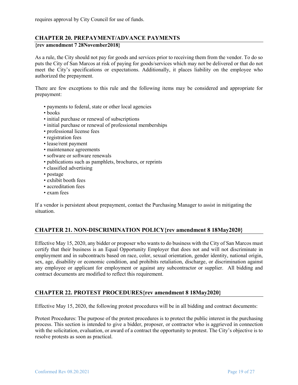# **CHAPTER 20. PREPAYMENT/ADVANCE PAYMENTS**

#### **{rev amendment 7 28November2018}**

As a rule, the City should not pay for goods and services prior to receiving them from the vendor. To do so puts the City of San Marcos at risk of paying for goods/services which may not be delivered or that do not meet the City's specifications or expectations. Additionally, it places liability on the employee who authorized the prepayment.

There are few exceptions to this rule and the following items may be considered and appropriate for prepayment:

- payments to federal, state or other local agencies
- books
- initial purchase or renewal of subscriptions
- initial purchase or renewal of professional memberships
- professional license fees
- registration fees
- lease/rent payment
- maintenance agreements
- software or software renewals
- publications such as pamphlets, brochures, or reprints
- classified advertising
- postage
- exhibit booth fees
- accreditation fees
- exam fees

If a vendor is persistent about prepayment, contact the Purchasing Manager to assist in mitigating the situation.

# **CHAPTER 21. NON-DISCRIMINATION POLICY{rev amendment 8 18May2020}**

Effective May 15, 2020, any bidder or proposer who wants to do business with the City of San Marcos must certify that their business is an Equal Opportunity Employer that does not and will not discriminate in employment and in subcontracts based on race, color, sexual orientation, gender identity, national origin, sex, age, disability or economic condition, and prohibits retaliation, discharge, or discrimination against any employee or applicant for employment or against any subcontractor or supplier. All bidding and contract documents are modified to reflect this requirement.

# **CHAPTER 22. PROTEST PROCEDURES{rev amendment 8 18May2020}**

Effective May 15, 2020, the following protest procedures will be in all bidding and contract documents:

Protest Procedures: The purpose of the protest procedures is to protect the public interest in the purchasing process. This section is intended to give a bidder, proposer, or contractor who is aggrieved in connection with the solicitation, evaluation, or award of a contract the opportunity to protest. The City's objective is to resolve protests as soon as practical.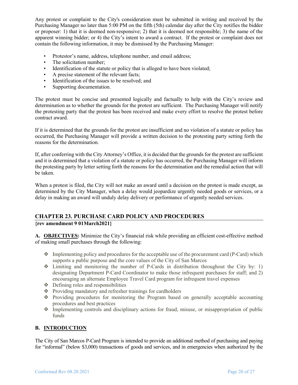Any protest or complaint to the City's consideration must be submitted in writing and received by the Purchasing Manager no later than 5:00 PM on the fifth (5th) calendar day after the City notifies the bidder or proposer: 1) that it is deemed non-responsive; 2) that it is deemed not responsible; 3) the name of the apparent winning bidder; or 4) the City's intent to award a contract. If the protest or complaint does not contain the following information, it may be dismissed by the Purchasing Manager:

- Protestor's name, address, telephone number, and email address;
- The solicitation number:
- Identification of the statute or policy that is alleged to have been violated;
- A precise statement of the relevant facts;
- Identification of the issues to be resolved; and
- Supporting documentation.

The protest must be concise and presented logically and factually to help with the City's review and determination as to whether the grounds for the protest are sufficient. The Purchasing Manager will notify the protesting party that the protest has been received and make every effort to resolve the protest before contract award.

If it is determined that the grounds for the protest are insufficient and no violation of a statute or policy has occurred, the Purchasing Manager will provide a written decision to the protesting party setting forth the reasons for the determination.

If, after conferring with the City Attorney's Office, it is decided that the grounds for the protest are sufficient and it is determined that a violation of a statute or policy has occurred, the Purchasing Manager will inform the protesting party by letter setting forth the reasons for the determination and the remedial action that will be taken.

When a protest is filed, the City will not make an award until a decision on the protest is made except, as determined by the City Manager, when a delay would jeopardize urgently needed goods or services, or a delay in making an award will unduly delay delivery or performance of urgently needed services.

# **CHAPTER 23. PURCHASE CARD POLICY AND PROCEDURES**

**{rev amendment 9 01March2021}**

**A. OBJECTIVES:** Minimize the City's financial risk while providing an efficient cost-effective method of making small purchases through the following:

- $\cdot \cdot$  Implementing policy and procedures for the acceptable use of the procurement card (P-Card) which supports a public purpose and the core values of the City of San Marcos
- $\div$  Limiting and monitoring the number of P-Cards in distribution throughout the City by: 1) designating Department P-Card Coordinator to make those infrequent purchases for staff; and 2) encouraging an alternate Employee Travel Card program for infrequent travel expenses
- $\triangle$  Defining roles and responsibilities
- Providing mandatory and refresher trainings for cardholders
- Providing procedures for monitoring the Program based on generally acceptable accounting procedures and best practices
- Implementing controls and disciplinary actions for fraud, misuse, or misappropriation of public funds

#### **B. INTRODUCTION**

The City of San Marcos P-Card Program is intended to provide an additional method of purchasing and paying for "informal" (below \$3,000) transactions of goods and services, and in emergencies when authorized by the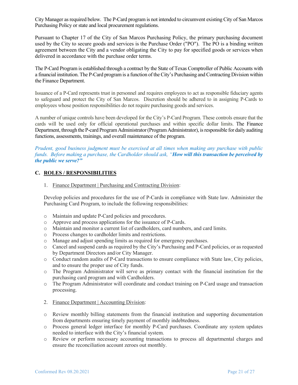City Manager as required below. The P-Card program is not intended to circumvent existing City of San Marcos Purchasing Policy or state and local procurement regulations.

Pursuant to Chapter 17 of the City of San Marcos Purchasing Policy, the primary purchasing document used by the City to secure goods and services is the Purchase Order ("PO"). The PO is a binding written agreement between the City and a vendor obligating the City to pay for specified goods or services when delivered in accordance with the purchase order terms.

The P-Card Program is established through a contract by the State of Texas Comptroller of Public Accounts with a financial institution. The P-Card program is a function of the City's Purchasing and Contracting Division within the Finance Department.

Issuance of a P-Card represents trust in personnel and requires employees to act as responsible fiduciary agents to safeguard and protect the City of San Marcos. Discretion should be adhered to in assigning P-Cards to employees whose position responsibilities do not require purchasing goods and services.

A number of unique controls have been developed for the City's P-Card Program. These controls ensure that the cards will be used only for official operational purchases and within specific dollar limits. The Finance Department, through the P-card Program Administrator (Program Administrator), is responsible for daily auditing functions, assessments, trainings, and overall maintenance of the program.

*Prudent, good business judgment must be exercised at all times when making any purchase with public funds. Before making a purchase, the Cardholder should ask, "How will this transaction be perceived by the public we serve?"*

#### **C. ROLES / RESPONSIBILITIES**

1. Finance Department | Purchasing and Contracting Division:

Develop policies and procedures for the use of P-Cards in compliance with State law. Administer the Purchasing Card Program, to include the following responsibilities:

- o Maintain and update P-Card policies and procedures.
- o Approve and process applications for the issuance of P-Cards.
- o Maintain and monitor a current list of cardholders, card numbers, and card limits.
- o Process changes to cardholder limits and restrictions.
- o Manage and adjust spending limits as required for emergency purchases.
- o Cancel and suspend cards as required by the City's Purchasing and P-Card policies, or as requested by Department Directors and/or City Manager.
- o Conduct random audits of P-Card transactions to ensure compliance with State law, City policies, and to ensure the proper use of City funds.
- o The Program Administrator will serve as primary contact with the financial institution for the purchasing card program and with Cardholders.
- o The Program Administrator will coordinate and conduct training on P-Card usage and transaction processing.
- 2. Finance Department | Accounting Division:
- o Review monthly billing statements from the financial institution and supporting documentation from departments ensuring timely payment of monthly indebtedness.
- o Process general ledger interface for monthly P-Card purchases. Coordinate any system updates needed to interface with the City's financial system.
- o Review or perform necessary accounting transactions to process all departmental charges and ensure the reconciliation account zeroes out monthly.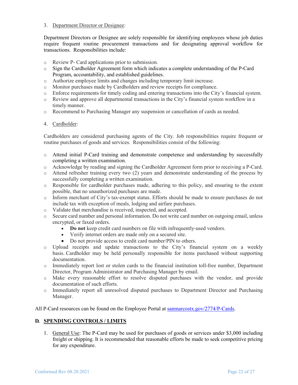#### 3. Department Director or Designee:

Department Directors or Designee are solely responsible for identifying employees whose job duties require frequent routine procurement transactions and for designating approval workflow for transactions. Responsibilities include:

- o Review P- Card applications prior to submission.
- o Sign the Cardholder Agreement form which indicates a complete understanding of the P-Card Program, accountability, and established guidelines.
- o Authorize employee limits and changes including temporary limit increase.
- o Monitor purchases made by Cardholders and review receipts for compliance.
- o Enforce requirements for timely coding and entering transactions into the City's financial system.
- o Review and approve all departmental transactions in the City's financial system workflow in a timely manner.
- o Recommend to Purchasing Manager any suspension or cancellation of cards as needed.

#### 4. Cardholder:

Cardholders are considered purchasing agents of the City. Job responsibilities require frequent or routine purchases of goods and services. Responsibilities consist of the following:

- o Attend initial P-Card training and demonstrate competence and understanding by successfully completing a written examination.
- o Acknowledge by reading and signing the Cardholder Agreement form prior to receiving a P-Card.
- o Attend refresher training every two (2) years and demonstrate understanding of the process by successfully completing a written examination.
- o Responsible for cardholder purchases made, adhering to this policy, and ensuring to the extent possible, that no unauthorized purchases are made.
- o Inform merchant of City's tax-exempt status. Efforts should be made to ensure purchases do not include tax with exception of meals, lodging and airfare purchases.
- o Validate that merchandise is received, inspected, and accepted.
- o Secure card number and personal information. Do not write card number on outgoing email, unless encrypted, or faxed orders.
	- **Do not** keep credit card numbers on file with infrequently-used vendors.
	- Verify internet orders are made only on a secured site.
	- Do not provide access to credit card number/PIN to others.
- o Upload receipts and update transactions to the City's financial system on a weekly basis. Cardholder may be held personally responsible for items purchased without supporting documentation.
- o Immediately report lost or stolen cards to the financial institution toll-free number, Department Director, Program Administrator and Purchasing Manager by email.
- o Make every reasonable effort to resolve disputed purchases with the vendor, and provide documentation of such efforts.
- o Immediately report all unresolved disputed purchases to Department Director and Purchasing Manager.

All P-Card resources can be found on the Employee Portal at [sanmarcostx.gov/2774/P-Cards.](https://sanmarcostx.gov/2774/P-Cards)

# **D. SPENDING CONTROLS / LIMITS**

1. General Use: The P-Card may be used for purchases of goods or services under \$3,000 including freight or shipping. It is recommended that reasonable efforts be made to seek competitive pricing for any expenditure.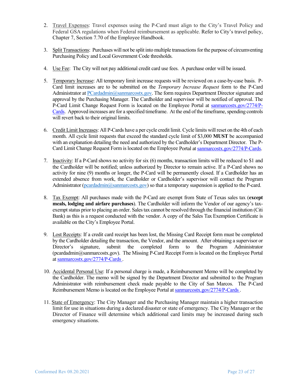- 2. Travel Expenses: Travel expenses using the P-Card must align to the City's Travel Policy and Federal GSA regulations when Federal reimbursement as applicable. Refer to City's travel policy, Chapter 7, Section 7.70 of the Employee Handbook.
- 3. Split Transactions: Purchases will not be split into multiple transactions for the purpose of circumventing Purchasing Policy and Local Government Code thresholds.
- 4. Use Fee: The City will not pay additional credit card use fees. A purchase order will be issued.
- 5. Temporary Increase: All temporary limit increase requests will be reviewed on a case-by-case basis. P-Card limit increases are to be submitted on the *Temporary Increase Request* form to the P-Card Administrator at [PCardadmin@sanmarcostx.gov.](mailto:PCardadmin@sanmarcostx.gov) The form requires Department Director signature and approval by the Purchasing Manager. The Cardholder and supervisor will be notified of approval. The P-Card Limit Change Request Form is located on the Employee Portal at [sanmarcostx.gov/2774/P-](https://sanmarcostx.gov/2774/P-Cards)[Cards.](https://sanmarcostx.gov/2774/P-Cards) Approved increases are for a specified timeframe. At the end of the timeframe, spending controls will revert back to their original limits.
- 6. Credit Limit Increases: All P-Cards have a per cycle credit limit. Cycle limits will reset on the 4th of each month. All cycle limit requests that exceed the standard cycle limit of \$3,000 **MUST** be accompanied with an explanation detailing the need and authorized by the Cardholder's Department Director. The P-Card Limit Change Request Form is located on the Employee Portal a[t sanmarcostx.gov/2774/P-Cards.](https://sanmarcostx.gov/2774/P-Cards)
- 7. Inactivity: If a P-Card shows no activity for six (6) months, transaction limits will be reduced to \$1 and the Cardholder will be notified; unless authorized by Director to remain active. If a P-Card shows no activity for nine (9) months or longer, the P-Card will be permanently closed. If a Cardholder has an extended absence from work, the Cardholder or Cardholder's supervisor will contact the Program Administrator [\(pcardadmin@sanmarcostx.gov\)](mailto:pcardadmin@sanmarcostx.gov) so that a temporary suspension is applied to the P-card.
- 8. Tax Exempt: All purchases made with the P-Card are exempt from State of Texas sales tax (**except meals, lodging and airfare purchases**). The Cardholder will inform the Vendor of our agency's taxexempt status prior to placing an order. Sales tax cannot be resolved through the financial institution (Citi Bank) as this is a request conducted with the vendor. A copy of the Sales Tax Exemption Certificate is available on the City's Employee Portal.
- 9. Lost Receipts: If a credit card receipt has been lost, the Missing Card Receipt form must be completed by the Cardholder detailing the transaction, the Vendor, and the amount. After obtaining a supervisor or Director's signature, submit the completed form to the Program Administrator Director's signature, submit the completed form to the Program Administrator (pcardadmin@sanmarcostx.gov).The Missing P-Card Receipt Form is located on the Employee Portal at [sanmarcostx.gov/2774/P-Cards](https://sanmarcostx.gov/2774/P-Cards) .
- 10. Accidental Personal Use: If a personal charge is made, a Reimbursement Memo will be completed by the Cardholder. The memo will be signed by the Department Director and submitted to the Program Administrator with reimbursement check made payable to the City of San Marcos. The P-Card Reimbursement Memo is located on the Employee Portal a[t sanmarcostx.gov/2774/P-Cards](https://sanmarcostx.gov/2774/P-Cards) .
- 11. State of Emergency: The City Manager and the Purchasing Manager maintain a higher transaction limit for use in situations during a declared disaster or state of emergency. The City Manager or the Director of Finance will determine which additional card limits may be increased during such emergency situations.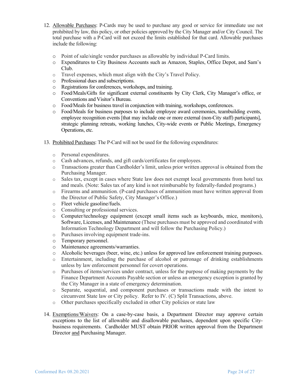- 12. Allowable Purchases: P-Cards may be used to purchase any good or service for immediate use not prohibited by law, this policy, or other policies approved by the City Manager and/or City Council. The total purchase with a P-Card will not exceed the limits established for that card. Allowable purchases include the following:
	- o Point of sale/single vendor purchases as allowable by individual P-Card limits.
	- o Expenditures to City Business Accounts such as Amazon, Staples, Office Depot, and Sam's Club.
	- o Travel expenses, which must align with the City's Travel Policy.
	- o Professional dues and subscriptions.
	- o Registrations for conferences, workshops, and training.
	- o Food/Meals/Gifts for significant external constituents by City Clerk, City Manager's office, or Conventions and Visitor's Bureau.
	- o Food/Meals for business travel in conjunction with training, workshops, conferences.
	- o Food/Meals for business purposes to include employee award ceremonies, teambuilding events, employee recognition events [that may include one or more external (non-City staff) participants], strategic planning retreats, working lunches, City-wide events or Public Meetings, Emergency Operations, etc.
- 13. Prohibited Purchases: The P-Card will not be used for the following expenditures:
	- o Personal expenditures.
	- o Cash advances, refunds, and gift cards/certificates for employees.
	- o Transactions greater than Cardholder's limit, unless prior written approval is obtained from the Purchasing Manager.
	- o Sales tax, except in cases where State law does not exempt local governments from hotel tax and meals. (Note: Sales tax of any kind is not reimbursable by federally-funded programs.)
	- o Firearms and ammunition. (P-card purchases of ammunition must have written approval from the Director of Public Safety, City Manager's Office.)
	- o Fleet vehicle gasoline/fuels.
	- o Consulting or professional services.
	- o Computer/technology equipment (except small items such as keyboards, mice, monitors), Software, Licenses, and Maintenance (These purchases must be approved and coordinated with Information Technology Department and will follow the Purchasing Policy.)
	- o Purchases involving equipment trade-ins.
	- o Temporary personnel.
	- o Maintenance agreements/warranties.
	- o Alcoholic beverages (beer, wine, etc.) unless for approved law enforcement training purposes.
	- o Entertainment, including the purchase of alcohol or patronage of drinking establishments unless by law enforcement personnel for covert operations.
	- o Purchases of items/services under contract, unless for the purpose of making payments by the Finance Department Accounts Payable section or unless an emergency exception is granted by the City Manager in a state of emergency determination.
	- o Separate, sequential, and component purchases or transactions made with the intent to circumvent State law or City policy. Refer to IV. (C) Split Transactions, above.
	- o Other purchases specifically excluded in other City policies or state law
- 14. Exemptions/Waivers: On a case-by-case basis, a Department Director may approve certain exceptions to the list of allowable and disallowable purchases, dependent upon specific Citybusiness requirements. Cardholder MUST obtain PRIOR written approval from the Department Director and Purchasing Manager.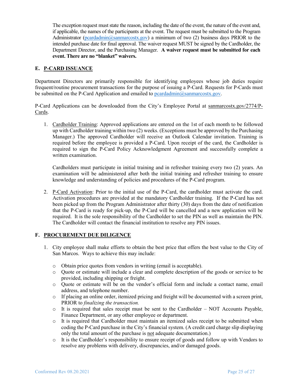The exception request must state the reason, including the date of the event, the nature of the event and, if applicable, the names of the participants at the event. The request must be submitted to the Program Administrator ( $\frac{\text{pcardadmin}(a)\text{samarcostx.gov}}{\text{pordadmin}}$ ) a minimum of two (2) business days PRIOR to the intended purchase date for final approval. The waiver request MUST be signed by the Cardholder, the Department Director, and the Purchasing Manager. **A waiver request must be submitted for each event. There are no "blanket" waivers.** 

#### **E. P-CARD ISSUANCE**

Department Directors are primarily responsible for identifying employees whose job duties require frequent/routine procurement transactions for the purpose of issuing a P-Card. Requests for P-Cards must be submitted on the P-Card Application and emailed to [pcardadmin@sanmarcostx.gov.](mailto:pcardadmin@sanmarcostx.gov)

P-Card Applications can be downloaded from the City's Employee Portal at [sanmarcostx.gov/2774/P-](https://sanmarcostx.gov/2774/P-Cards)[Cards.](https://sanmarcostx.gov/2774/P-Cards)

1. Cardholder Training: Approved applications are entered on the 1st of each month to be followed up with Cardholder training within two (2) weeks. (Exceptions must be approved by the Purchasing Manager.) The approved Cardholder will receive an Outlook Calendar invitation. Training is required before the employee is provided a P-Card. Upon receipt of the card, the Cardholder is required to sign the P-Card Policy Acknowledgment Agreement and successfully complete a written examination.

Cardholders must participate in initial training and in refresher training every two (2) years. An examination will be administered after both the initial training and refresher training to ensure knowledge and understanding of policies and procedures of the P-Card program.

2. P-Card Activation: Prior to the initial use of the P-Card, the cardholder must activate the card. Activation procedures are provided at the mandatory Cardholder training. If the P-Card has not been picked up from the Program Administrator after thirty (30) days from the date of notification that the P-Card is ready for pick-up, the P-Card will be cancelled and a new application will be required. It is the sole responsibility of the Cardholder to set the PIN as well as maintain the PIN. The Cardholder will contact the financial institution to resolve any PIN issues.

#### **F. PROCUREMENT DUE DILIGENCE**

- 1. City employee shall make efforts to obtain the best price that offers the best value to the City of San Marcos. Ways to achieve this may include:
	- o Obtain price quotes from vendors in writing (email is acceptable).
	- o Quote or estimate will include a clear and complete description of the goods or service to be provided, including shipping or freight.
	- o Quote or estimate will be on the vendor's official form and include a contact name, email address, and telephone number.
	- o If placing an online order, itemized pricing and freight will be documented with a screen print, PRIOR to *finalizing the transaction.*
	- $\circ$  It is required that sales receipt must be sent to the Cardholder NOT Accounts Payable, Finance Department, or any other employee or department.
	- o It is required that Cardholder must maintain an itemized sales receipt to be submitted when coding the P-Card purchase in the City's financial system. (A credit card charge slip displaying only the total amount of the purchase is not adequate documentation.)
	- o It is the Cardholder's responsibility to ensure receipt of goods and follow up with Vendors to resolve any problems with delivery, discrepancies, and/or damaged goods.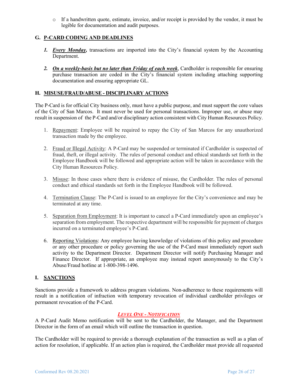$\circ$  If a handwritten quote, estimate, invoice, and/or receipt is provided by the vendor, it must be legible for documentation and audit purposes.

# **G. P-CARD CODING AND DEADLINES**

- *1. Every Monday,* transactions are imported into the City's financial system by the Accounting Department.
- *2. On a weekly-basis but no later than Friday of each week*, Cardholder is responsible for ensuring purchase transaction are coded in the City's financial system including attaching supporting documentation and ensuring appropriate GL.

#### **H. MISUSE/FRAUD/ABUSE - DISCIPLINARY ACTIONS**

The P-Card is for official City business only, must have a public purpose, and must support the core values of the City of San Marcos. It must never be used for personal transactions. Improper use, or abuse may result in suspension of the P-Card and/or disciplinary action consistent with City Human Resources Policy.

- 1. Repayment: Employee will be required to repay the City of San Marcos for any unauthorized transaction made by the employee.
- 2. Fraud or Illegal Activity: A P-Card may be suspended or terminated if Cardholder is suspected of fraud, theft, or illegal activity. The rules of personal conduct and ethical standards set forth in the Employee Handbook will be followed and appropriate action will be taken in accordance with the City Human Resources Policy.
- 3. Misuse: In those cases where there is evidence of misuse, the Cardholder. The rules of personal conduct and ethical standards set forth in the Employee Handbook will be followed.
- 4. Termination Clause: The P-Card is issued to an employee for the City's convenience and may be terminated at any time.
- 5. Separation from Employment: It is important to cancel a P-Card immediately upon an employee's separation from employment. The respective department will be responsible for payment of charges incurred on a terminated employee's P-Card.
- 6. Reporting Violations: Any employee having knowledge of violations of this policy and procedure or any other procedure or policy governing the use of the P-Card must immediately report such activity to the Department Director. Department Director will notify Purchasing Manager and Finance Director. If appropriate, an employee may instead report anonymously to the City's Abuse/Fraud hotline at 1-800-398-1496.

# **I. SANCTIONS**

Sanctions provide a framework to address program violations. Non-adherence to these requirements will result in a notification of infraction with temporary revocation of individual cardholder privileges or permanent revocation of the P-Card.

# *LEVEL ONE - NOTIFICATION*

A P-Card Audit Memo notification will be sent to the Cardholder, the Manager, and the Department Director in the form of an email which will outline the transaction in question.

The Cardholder will be required to provide a thorough explanation of the transaction as well as a plan of action for resolution, if applicable. If an action plan is required, the Cardholder must provide all requested